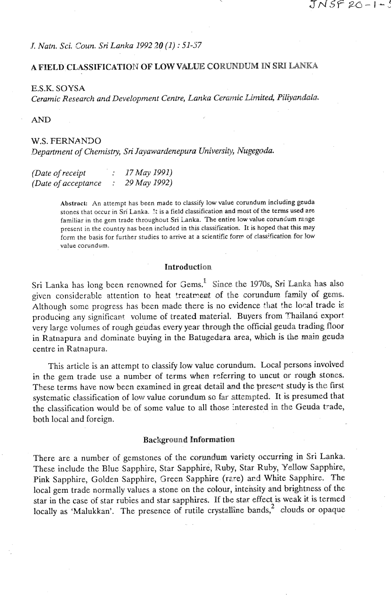**.f.** Natn. Sci, -5oun. Sri Lanka 1992 *<sup>20</sup>*(1) : *51-37* 

# **A** FIELD:CL,ASSIFICATION OF **LOWVALUE** CORUNDUM **IN SRI LANKA**

E.S.K. SOYSA

Ceramic Research and Development Centre, Lanka Ceramic Limited, Piliyandala.

AND

# W.S. FERNANDO

Department of Chemistry, *Sri* Jayawardenepum University, Nugegoda.

| (Date of receipt     | 17 May 1991) |
|----------------------|--------------|
| (Date of acceptance) | 29 May 1992) |

**Abstrack An attempt has been made to classify low value corundum including geuda stones that occur in Sri Lanka.** !: **is a field classification and most of the terms used are**  familiar in the gem trade throughout Sri Lanka. The entire low value corundum range **present in the country nas been included in this classification. It is hoped that this may form the basis for further studies to arrive at a scientific fom of class;fication for low value corundum.** 

## **Introduction**

Sri Lanka has long been renowned for Gems.<sup>1</sup> Since the 1970s, Sri Lanka has also given considerable attention to heat treatrent of the corundum family of gems. Although some progress has been made there is no evidence that the local trade is producing any significant volume of treated material. Buyers from Thailand export very large volumes of rough geudas every year through the official geuda trading floor in Ratnapura and dominate buying in the Batugedara area, which is the main geuda centre in Ratnapura.

This article is an attempt to classify low value corundum. Local persons involved in the gem trade use a number of terms when referring to uncut or rough stones. These terms have now been examined in great detail and the present study is the first systematic classification of low value corundum so far attempted. It is presumed that the classification would be of some value to all those interested in the Geuda trade, both local and foreign.

#### **Background** Information

There are a number of gemstones of the corundum variety occurring in Sri Lanka. These include the Blue Sapphire, Star Sapphire, Ruby, Star Ruby, Yelow Sapphire, Pink Sapphire, Golden Sapphire, Sreen Sapphire (rzre) **ard** White Sapphire. The local gem trade normally values a stone on the colour, intensity and brightness of the star in the case of star rubies and star sapphires. If the star effect is weak it is termed locally as 'Malukkan'. The presence of rutile crystalline bands, $2$  clouds or opaque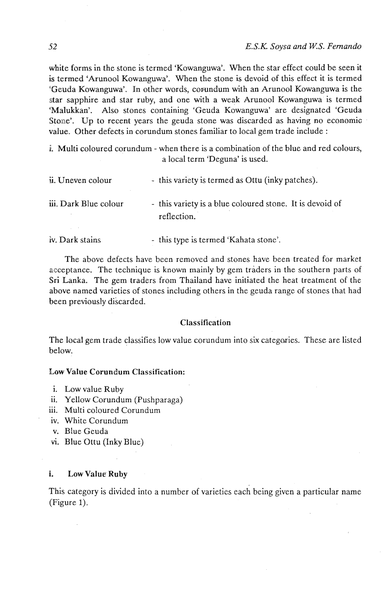white forms in the stone is termed 'Kowanguwa'. When the star effect could be seen it is termed 'Arunool Kowanguwa'. When the stone is devoid of this effect it is termed 'Geuda Kowanguwa'. In other words, corundum with an Arunool Kowanguwa is the star sapphire and star ruby, and one with a weak Arunool Kowanguwa is termed 'Malukkan'. Also stones containing 'Geuda Kowanguwa' are designated 'Geuda Stone'. Up to recent years the geuda stone was discarded as having no economic value. Other defects in corundum stones familiar to local gem trade include :

i. Multi coloured corundum - when there is a combination of the blue and red colours, a local term 'Deguna' is used.

| ii. Uneven colour     | - this variety is termed as Ottu (inky patches).                        |
|-----------------------|-------------------------------------------------------------------------|
| iii. Dark Blue colour | - this variety is a blue coloured stone. It is devoid of<br>reflection. |
| iv. Dark stains       | - this type is termed 'Kahata stone'.                                   |

The above defects have been removed and stones have been treated for market acceptance. The technique is known mainly by gem traders in the southern parts of Sri Lanka. The gem traders from Thailand have initiated the heat treatment of the above named varieties of stones including others in the geuda range of stones that had

#### Classification

The local gem trade classifies low value corundum into six categories. These are listed below.

## Low Value Corundum Classification:

**i.** Low value Ruby

been previously discarded.

- **11.** Yellow Corundum (Pushparaga)
- **iii.** Multi coloured Corundum
- iv. White Corundum
- v. Blue Geuda
- vi. Blue Ottu (Inky Blue)

#### i. Low Value Ruby

This category is divided into a number of varieties each being given a particular name (Figure 1).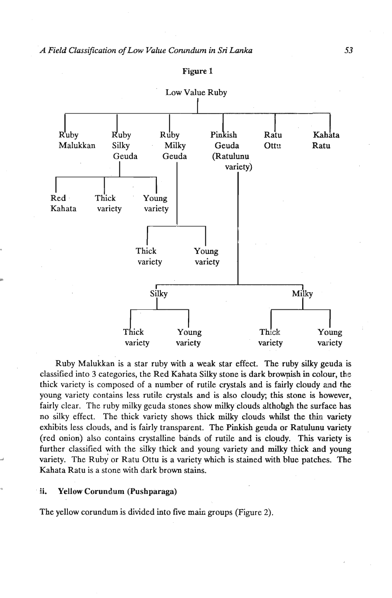

### Figure 1

Ruby Malukkan is a star ruby with a weak star effect. The ruby silky geuda is classified into 3 categories, the Red Kahata **Silky** stone is dark browpish in colour, the thick variety is composed of a number of rutile crystals and is fairly cloudy ad the young variety contains less rutile crystals and is also cloudy; this stone is however, fairly clear. The ruby milky geuda stones show **milky** clouds altholgh the surface has no silky effect. The thick variety shows thick milky clouds whilst the thin variety exhibits less clouds, and is fairly transparent. The Pinkish geuda or Ratulunu variety (red onion) also contains crystalline bands of rutile and is cloudy. This variety is further classified with the silky thick and young variety and *milky* thick and young variety. The Ruby or Ratu Ottu is a variety which is stained with blue patches. The Kahata Ratu is a stone with dark brown stains.

#### ii. Yellow Corundum (Pushparaga)

The yellow corundum is divided into five main groups (Figure 2).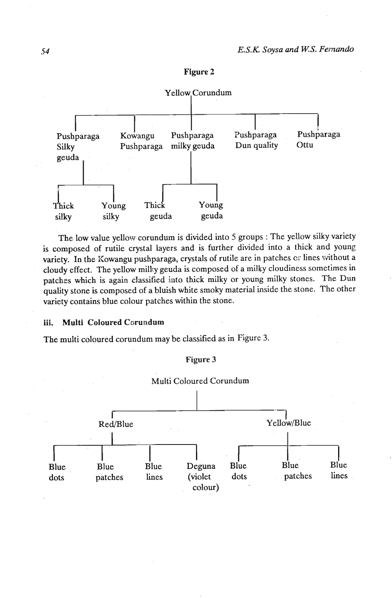



The low value yellow corundum is divided into 5 groups : The yellow silky variety is composed of rutile crystal layers and is further divided into a thick and young variety. In the Kowangu pushparaga, crystals of rutile are in patches cr lines without a cloudy effect. The yellow milky geuda is composed of a milky cloudiness sometimes in patches which is again classified into thick milky or young milky stones. The Dun quality stone is composed of a bluish white smoky material inside the stone. The other variety contains blue colour patches within the stone.

**iii. Multi Coloured Corundum** 

The multi coloured corundum may be classified as in Figure 3.



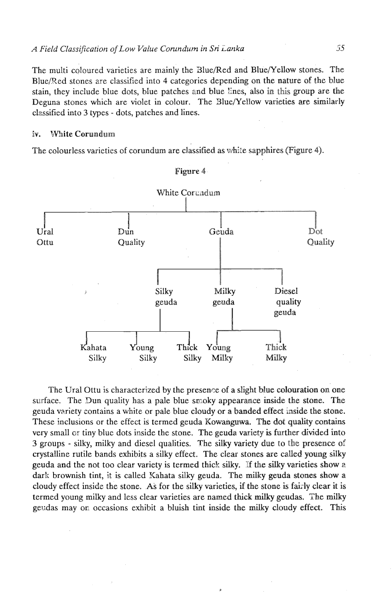The multi coloured varieties are mainly the Slue/Red and Blue/Yellow stones. The Blue/Red stones are classified into 4 categories depending on the nature of the blue stain, they include blue dots, blue patches and blue lines, also in this group are the Deguna stones which are violet in colour. The Slue/YelIow varieties are similarly classified into 3 types - dots, patches and lines.

### iv. White Corundum

The colourless varieties of corundum are classified as white sapphires (Figure 4).



Figure 4

The Ural Ottu is characterized by the presence of a slight blue colouration on one surface. The Dun quality has a pale blue smoky appearance inside the stone. The geuda variety contains a white or pale blue cloudy or a banded effect inside the stone. These inclusions or the effect is termed geuda Kowanguwa. The dot quality contains very small or tiny blue dots inside the stone. The geuda variety is further divided into 3 groups - silky, milky and diesel qualities. The silky variety due to the presence of crystalline rutile bands exhibits a silky effect. The clear stones are called young silky geuda and the not too clear variety is termed thick silky. If the silky varieties show a dark brownish tint, it is called Kahata silky geuda. The milky geuda stones show a cloudy effect inside the stone. As for the silky varieties, if the stone is fairly clear it is termed young milky and less clear varieties are named thick milky geudas. The milky geudas may on occasions exhibit a bluish tint inside the milky cloudy effect. This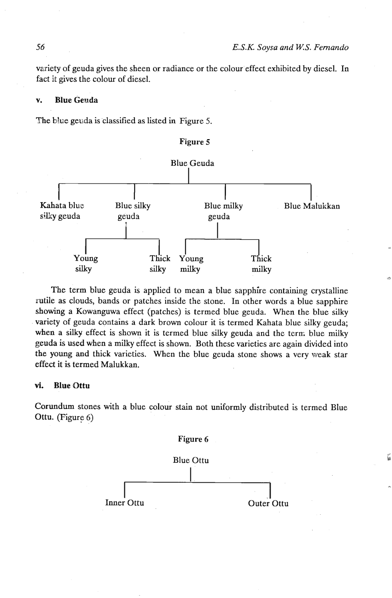variety of geuda gives the sheen or radiance or the colour effect exhibited by diesel. In fact it gives the colour of diesel.

#### **v. Blue Genda**

The blue geuda is classified as listed in Figure 5.



The term blue geuda is applied to mean a blue sapphire containing crystalline rutile as clouds, bands or patches inside the stone. In other words a blue sapphire showing a Kowanguwa effect (patches) is termed blue geuda. When the blue silky variety of geuda contains a dark brown colour it is termed Kahata blue silky geuda; when a silky effect is shown it is termed blue silky geuda and the tern; blue milky geuda is used when a milky effect is shown. Both these varieties are again divided into the young and thick varieties. When the blue geuda stone shows a very weak star effect it is termed Malukkan.

# **vi.** Blue Ottu

Corundum stones with a blue colour stain not uniformly distributed is termed Blue Ottu. (Figure 6)